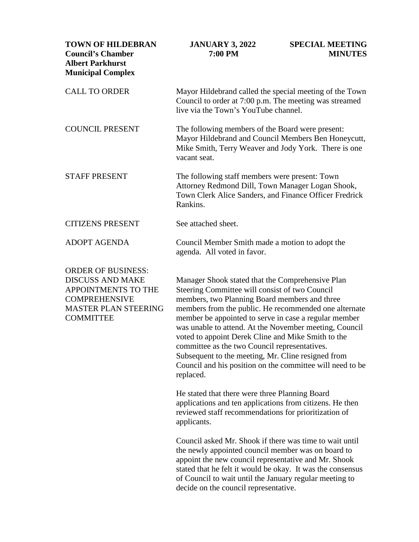| <b>TOWN OF HILDEBRAN</b><br><b>Council's Chamber</b><br><b>Albert Parkhurst</b><br><b>Municipal Complex</b>                                            | <b>JANUARY 3, 2022</b><br>7:00 PM                                                                                                                                                                                                                                                                                                                                                                                                                                                                                                                                      | <b>SPECIAL MEETING</b><br><b>MINUTES</b> |
|--------------------------------------------------------------------------------------------------------------------------------------------------------|------------------------------------------------------------------------------------------------------------------------------------------------------------------------------------------------------------------------------------------------------------------------------------------------------------------------------------------------------------------------------------------------------------------------------------------------------------------------------------------------------------------------------------------------------------------------|------------------------------------------|
| <b>CALL TO ORDER</b>                                                                                                                                   | Mayor Hildebrand called the special meeting of the Town<br>Council to order at 7:00 p.m. The meeting was streamed<br>live via the Town's YouTube channel.                                                                                                                                                                                                                                                                                                                                                                                                              |                                          |
| <b>COUNCIL PRESENT</b>                                                                                                                                 | The following members of the Board were present:<br>Mayor Hildebrand and Council Members Ben Honeycutt,<br>Mike Smith, Terry Weaver and Jody York. There is one<br>vacant seat.                                                                                                                                                                                                                                                                                                                                                                                        |                                          |
| <b>STAFF PRESENT</b>                                                                                                                                   | The following staff members were present: Town<br>Attorney Redmond Dill, Town Manager Logan Shook,<br>Town Clerk Alice Sanders, and Finance Officer Fredrick<br>Rankins.                                                                                                                                                                                                                                                                                                                                                                                               |                                          |
| <b>CITIZENS PRESENT</b>                                                                                                                                | See attached sheet.                                                                                                                                                                                                                                                                                                                                                                                                                                                                                                                                                    |                                          |
| <b>ADOPT AGENDA</b>                                                                                                                                    | Council Member Smith made a motion to adopt the<br>agenda. All voted in favor.                                                                                                                                                                                                                                                                                                                                                                                                                                                                                         |                                          |
| <b>ORDER OF BUSINESS:</b><br><b>DISCUSS AND MAKE</b><br>APPOINTMENTS TO THE<br><b>COMPREHENSIVE</b><br><b>MASTER PLAN STEERING</b><br><b>COMMITTEE</b> | Manager Shook stated that the Comprehensive Plan<br>Steering Committee will consist of two Council<br>members, two Planning Board members and three<br>members from the public. He recommended one alternate<br>member be appointed to serve in case a regular member<br>was unable to attend. At the November meeting, Council<br>voted to appoint Derek Cline and Mike Smith to the<br>committee as the two Council representatives.<br>Subsequent to the meeting, Mr. Cline resigned from<br>Council and his position on the committee will need to be<br>replaced. |                                          |
|                                                                                                                                                        | He stated that there were three Planning Board<br>applications and ten applications from citizens. He then<br>reviewed staff recommendations for prioritization of<br>applicants.                                                                                                                                                                                                                                                                                                                                                                                      |                                          |
|                                                                                                                                                        | Council asked Mr. Shook if there was time to wait until<br>the newly appointed council member was on board to<br>appoint the new council representative and Mr. Shook<br>stated that he felt it would be okay. It was the consensus<br>of Council to wait until the January regular meeting to<br>decide on the council representative.                                                                                                                                                                                                                                |                                          |